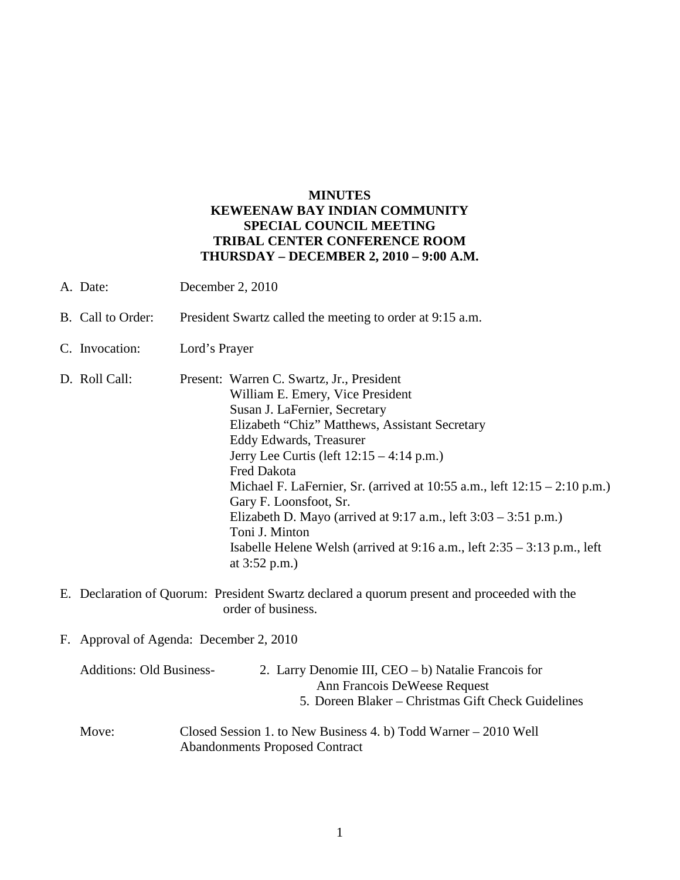## **MINUTES KEWEENAW BAY INDIAN COMMUNITY SPECIAL COUNCIL MEETING TRIBAL CENTER CONFERENCE ROOM THURSDAY – DECEMBER 2, 2010 – 9:00 A.M.**

- A. Date: December 2, 2010
- B. Call to Order: President Swartz called the meeting to order at 9:15 a.m.
- C. Invocation: Lord's Prayer
- D. Roll Call: Present: Warren C. Swartz, Jr., President William E. Emery, Vice President Susan J. LaFernier, Secretary Elizabeth "Chiz" Matthews, Assistant Secretary Eddy Edwards, Treasurer Jerry Lee Curtis (left 12:15 – 4:14 p.m.) Fred Dakota Michael F. LaFernier, Sr. (arrived at 10:55 a.m., left 12:15 – 2:10 p.m.) Gary F. Loonsfoot, Sr. Elizabeth D. Mayo (arrived at  $9:17$  a.m., left  $3:03 - 3:51$  p.m.) Toni J. Minton Isabelle Helene Welsh (arrived at 9:16 a.m., left 2:35 – 3:13 p.m., left at 3:52 p.m.)
- E. Declaration of Quorum: President Swartz declared a quorum present and proceeded with the order of business.
- F. Approval of Agenda: December 2, 2010

| <b>Additions: Old Business-</b> | 2. Larry Denomie III, $CEO - b$ ) Natalie Francois for |
|---------------------------------|--------------------------------------------------------|
|                                 | Ann Francois DeWeese Request                           |
|                                 | 5. Doreen Blaker – Christmas Gift Check Guidelines     |
|                                 |                                                        |

Move: Closed Session 1. to New Business 4. b) Todd Warner – 2010 Well Abandonments Proposed Contract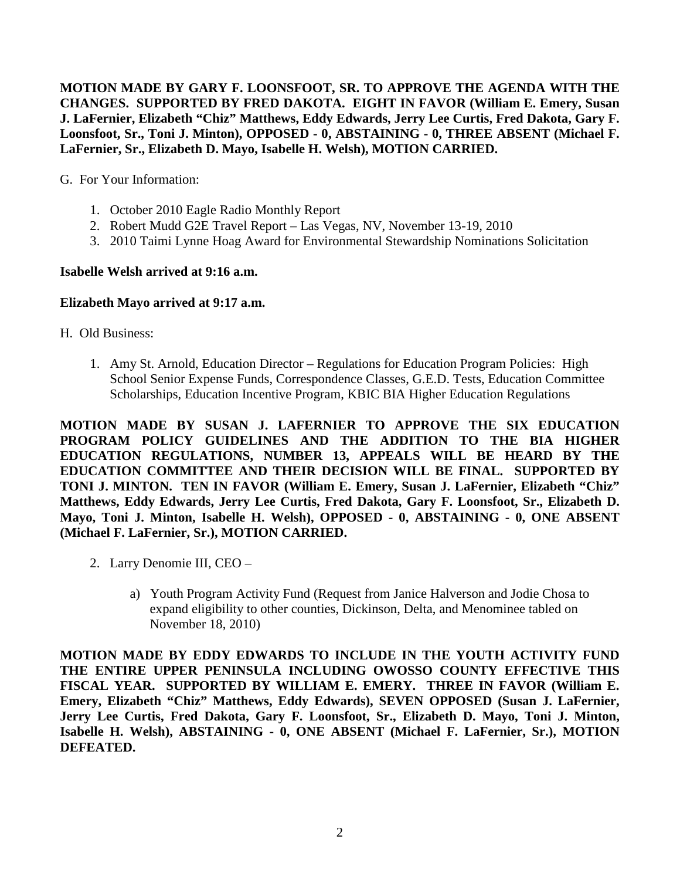**MOTION MADE BY GARY F. LOONSFOOT, SR. TO APPROVE THE AGENDA WITH THE CHANGES. SUPPORTED BY FRED DAKOTA. EIGHT IN FAVOR (William E. Emery, Susan J. LaFernier, Elizabeth "Chiz" Matthews, Eddy Edwards, Jerry Lee Curtis, Fred Dakota, Gary F. Loonsfoot, Sr., Toni J. Minton), OPPOSED - 0, ABSTAINING - 0, THREE ABSENT (Michael F. LaFernier, Sr., Elizabeth D. Mayo, Isabelle H. Welsh), MOTION CARRIED.**

G. For Your Information:

- 1. October 2010 Eagle Radio Monthly Report
- 2. Robert Mudd G2E Travel Report Las Vegas, NV, November 13-19, 2010
- 3. 2010 Taimi Lynne Hoag Award for Environmental Stewardship Nominations Solicitation

### **Isabelle Welsh arrived at 9:16 a.m.**

### **Elizabeth Mayo arrived at 9:17 a.m.**

H. Old Business:

1. Amy St. Arnold, Education Director – Regulations for Education Program Policies: High School Senior Expense Funds, Correspondence Classes, G.E.D. Tests, Education Committee Scholarships, Education Incentive Program, KBIC BIA Higher Education Regulations

**MOTION MADE BY SUSAN J. LAFERNIER TO APPROVE THE SIX EDUCATION PROGRAM POLICY GUIDELINES AND THE ADDITION TO THE BIA HIGHER EDUCATION REGULATIONS, NUMBER 13, APPEALS WILL BE HEARD BY THE EDUCATION COMMITTEE AND THEIR DECISION WILL BE FINAL. SUPPORTED BY TONI J. MINTON. TEN IN FAVOR (William E. Emery, Susan J. LaFernier, Elizabeth "Chiz" Matthews, Eddy Edwards, Jerry Lee Curtis, Fred Dakota, Gary F. Loonsfoot, Sr., Elizabeth D. Mayo, Toni J. Minton, Isabelle H. Welsh), OPPOSED - 0, ABSTAINING - 0, ONE ABSENT (Michael F. LaFernier, Sr.), MOTION CARRIED.**

- 2. Larry Denomie III, CEO
	- a) Youth Program Activity Fund (Request from Janice Halverson and Jodie Chosa to expand eligibility to other counties, Dickinson, Delta, and Menominee tabled on November 18, 2010)

**MOTION MADE BY EDDY EDWARDS TO INCLUDE IN THE YOUTH ACTIVITY FUND THE ENTIRE UPPER PENINSULA INCLUDING OWOSSO COUNTY EFFECTIVE THIS FISCAL YEAR. SUPPORTED BY WILLIAM E. EMERY. THREE IN FAVOR (William E. Emery, Elizabeth "Chiz" Matthews, Eddy Edwards), SEVEN OPPOSED (Susan J. LaFernier, Jerry Lee Curtis, Fred Dakota, Gary F. Loonsfoot, Sr., Elizabeth D. Mayo, Toni J. Minton, Isabelle H. Welsh), ABSTAINING - 0, ONE ABSENT (Michael F. LaFernier, Sr.), MOTION DEFEATED.**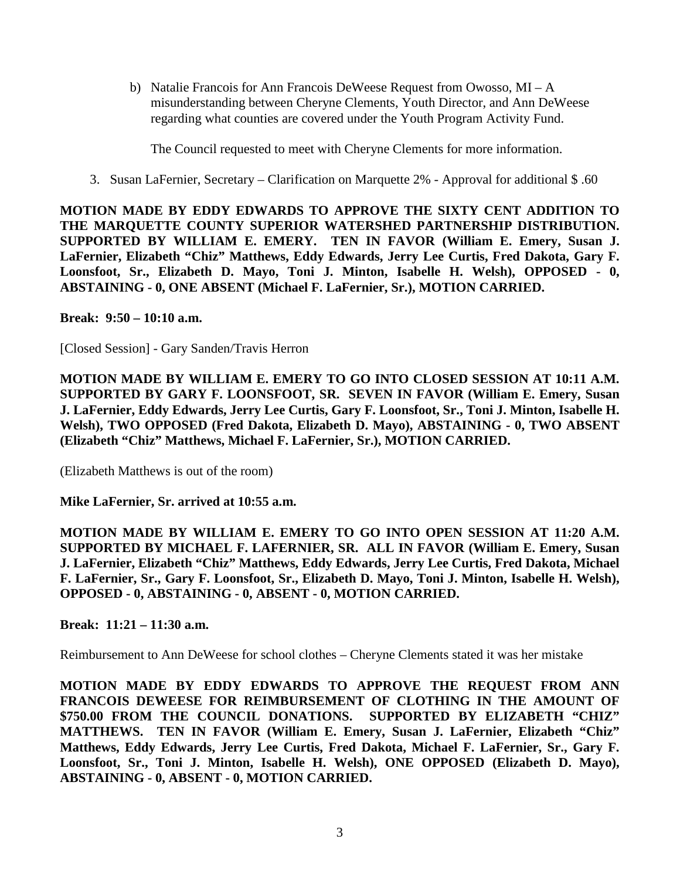b) Natalie Francois for Ann Francois DeWeese Request from Owosso,  $MI - A$ misunderstanding between Cheryne Clements, Youth Director, and Ann DeWeese regarding what counties are covered under the Youth Program Activity Fund.

The Council requested to meet with Cheryne Clements for more information.

3. Susan LaFernier, Secretary – Clarification on Marquette 2% - Approval for additional \$ .60

**MOTION MADE BY EDDY EDWARDS TO APPROVE THE SIXTY CENT ADDITION TO THE MARQUETTE COUNTY SUPERIOR WATERSHED PARTNERSHIP DISTRIBUTION. SUPPORTED BY WILLIAM E. EMERY. TEN IN FAVOR (William E. Emery, Susan J. LaFernier, Elizabeth "Chiz" Matthews, Eddy Edwards, Jerry Lee Curtis, Fred Dakota, Gary F. Loonsfoot, Sr., Elizabeth D. Mayo, Toni J. Minton, Isabelle H. Welsh), OPPOSED - 0, ABSTAINING - 0, ONE ABSENT (Michael F. LaFernier, Sr.), MOTION CARRIED.**

**Break: 9:50 – 10:10 a.m.** 

[Closed Session] - Gary Sanden/Travis Herron

**MOTION MADE BY WILLIAM E. EMERY TO GO INTO CLOSED SESSION AT 10:11 A.M. SUPPORTED BY GARY F. LOONSFOOT, SR. SEVEN IN FAVOR (William E. Emery, Susan J. LaFernier, Eddy Edwards, Jerry Lee Curtis, Gary F. Loonsfoot, Sr., Toni J. Minton, Isabelle H. Welsh), TWO OPPOSED (Fred Dakota, Elizabeth D. Mayo), ABSTAINING - 0, TWO ABSENT (Elizabeth "Chiz" Matthews, Michael F. LaFernier, Sr.), MOTION CARRIED.**

(Elizabeth Matthews is out of the room)

**Mike LaFernier, Sr. arrived at 10:55 a.m.** 

**MOTION MADE BY WILLIAM E. EMERY TO GO INTO OPEN SESSION AT 11:20 A.M. SUPPORTED BY MICHAEL F. LAFERNIER, SR. ALL IN FAVOR (William E. Emery, Susan J. LaFernier, Elizabeth "Chiz" Matthews, Eddy Edwards, Jerry Lee Curtis, Fred Dakota, Michael F. LaFernier, Sr., Gary F. Loonsfoot, Sr., Elizabeth D. Mayo, Toni J. Minton, Isabelle H. Welsh), OPPOSED - 0, ABSTAINING - 0, ABSENT - 0, MOTION CARRIED.**

**Break: 11:21 – 11:30 a.m.** 

Reimbursement to Ann DeWeese for school clothes – Cheryne Clements stated it was her mistake

**MOTION MADE BY EDDY EDWARDS TO APPROVE THE REQUEST FROM ANN FRANCOIS DEWEESE FOR REIMBURSEMENT OF CLOTHING IN THE AMOUNT OF \$750.00 FROM THE COUNCIL DONATIONS. SUPPORTED BY ELIZABETH "CHIZ" MATTHEWS. TEN IN FAVOR (William E. Emery, Susan J. LaFernier, Elizabeth "Chiz" Matthews, Eddy Edwards, Jerry Lee Curtis, Fred Dakota, Michael F. LaFernier, Sr., Gary F. Loonsfoot, Sr., Toni J. Minton, Isabelle H. Welsh), ONE OPPOSED (Elizabeth D. Mayo), ABSTAINING - 0, ABSENT - 0, MOTION CARRIED.**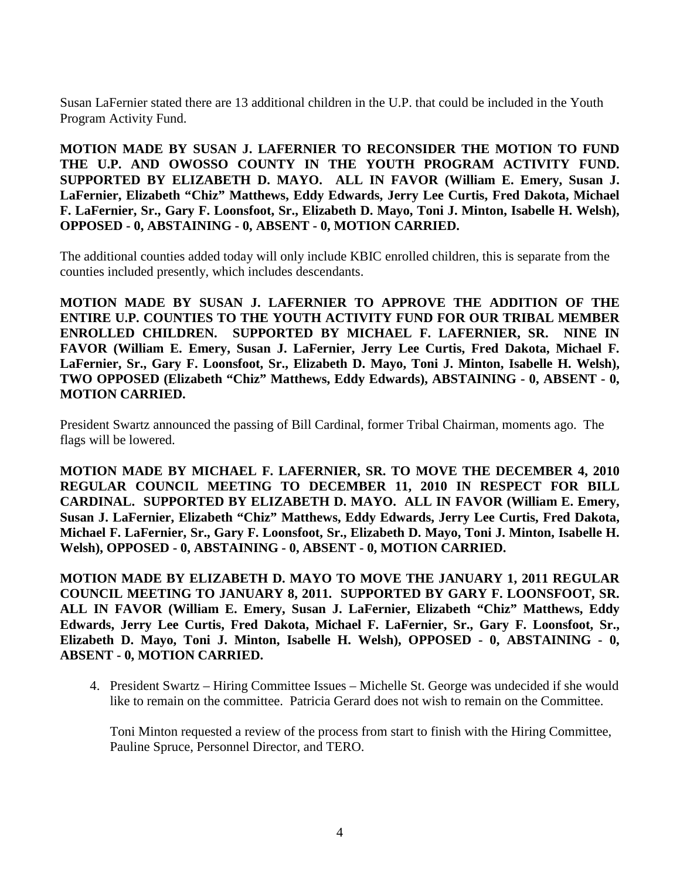Susan LaFernier stated there are 13 additional children in the U.P. that could be included in the Youth Program Activity Fund.

**MOTION MADE BY SUSAN J. LAFERNIER TO RECONSIDER THE MOTION TO FUND THE U.P. AND OWOSSO COUNTY IN THE YOUTH PROGRAM ACTIVITY FUND. SUPPORTED BY ELIZABETH D. MAYO. ALL IN FAVOR (William E. Emery, Susan J. LaFernier, Elizabeth "Chiz" Matthews, Eddy Edwards, Jerry Lee Curtis, Fred Dakota, Michael F. LaFernier, Sr., Gary F. Loonsfoot, Sr., Elizabeth D. Mayo, Toni J. Minton, Isabelle H. Welsh), OPPOSED - 0, ABSTAINING - 0, ABSENT - 0, MOTION CARRIED.**

The additional counties added today will only include KBIC enrolled children, this is separate from the counties included presently, which includes descendants.

**MOTION MADE BY SUSAN J. LAFERNIER TO APPROVE THE ADDITION OF THE ENTIRE U.P. COUNTIES TO THE YOUTH ACTIVITY FUND FOR OUR TRIBAL MEMBER ENROLLED CHILDREN. SUPPORTED BY MICHAEL F. LAFERNIER, SR. NINE IN FAVOR (William E. Emery, Susan J. LaFernier, Jerry Lee Curtis, Fred Dakota, Michael F. LaFernier, Sr., Gary F. Loonsfoot, Sr., Elizabeth D. Mayo, Toni J. Minton, Isabelle H. Welsh), TWO OPPOSED (Elizabeth "Chiz" Matthews, Eddy Edwards), ABSTAINING - 0, ABSENT - 0, MOTION CARRIED.**

President Swartz announced the passing of Bill Cardinal, former Tribal Chairman, moments ago. The flags will be lowered.

**MOTION MADE BY MICHAEL F. LAFERNIER, SR. TO MOVE THE DECEMBER 4, 2010 REGULAR COUNCIL MEETING TO DECEMBER 11, 2010 IN RESPECT FOR BILL CARDINAL. SUPPORTED BY ELIZABETH D. MAYO. ALL IN FAVOR (William E. Emery, Susan J. LaFernier, Elizabeth "Chiz" Matthews, Eddy Edwards, Jerry Lee Curtis, Fred Dakota, Michael F. LaFernier, Sr., Gary F. Loonsfoot, Sr., Elizabeth D. Mayo, Toni J. Minton, Isabelle H. Welsh), OPPOSED - 0, ABSTAINING - 0, ABSENT - 0, MOTION CARRIED.**

**MOTION MADE BY ELIZABETH D. MAYO TO MOVE THE JANUARY 1, 2011 REGULAR COUNCIL MEETING TO JANUARY 8, 2011. SUPPORTED BY GARY F. LOONSFOOT, SR. ALL IN FAVOR (William E. Emery, Susan J. LaFernier, Elizabeth "Chiz" Matthews, Eddy Edwards, Jerry Lee Curtis, Fred Dakota, Michael F. LaFernier, Sr., Gary F. Loonsfoot, Sr., Elizabeth D. Mayo, Toni J. Minton, Isabelle H. Welsh), OPPOSED - 0, ABSTAINING - 0, ABSENT - 0, MOTION CARRIED.**

4. President Swartz – Hiring Committee Issues – Michelle St. George was undecided if she would like to remain on the committee. Patricia Gerard does not wish to remain on the Committee.

Toni Minton requested a review of the process from start to finish with the Hiring Committee, Pauline Spruce, Personnel Director, and TERO.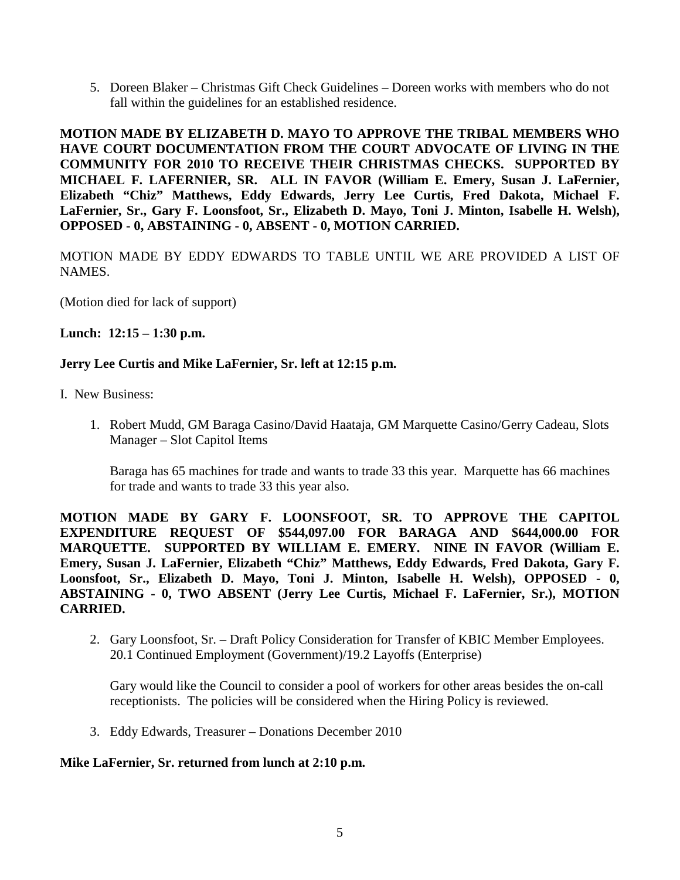5. Doreen Blaker – Christmas Gift Check Guidelines – Doreen works with members who do not fall within the guidelines for an established residence.

**MOTION MADE BY ELIZABETH D. MAYO TO APPROVE THE TRIBAL MEMBERS WHO HAVE COURT DOCUMENTATION FROM THE COURT ADVOCATE OF LIVING IN THE COMMUNITY FOR 2010 TO RECEIVE THEIR CHRISTMAS CHECKS. SUPPORTED BY MICHAEL F. LAFERNIER, SR. ALL IN FAVOR (William E. Emery, Susan J. LaFernier, Elizabeth "Chiz" Matthews, Eddy Edwards, Jerry Lee Curtis, Fred Dakota, Michael F. LaFernier, Sr., Gary F. Loonsfoot, Sr., Elizabeth D. Mayo, Toni J. Minton, Isabelle H. Welsh), OPPOSED - 0, ABSTAINING - 0, ABSENT - 0, MOTION CARRIED.**

MOTION MADE BY EDDY EDWARDS TO TABLE UNTIL WE ARE PROVIDED A LIST OF NAMES.

(Motion died for lack of support)

**Lunch: 12:15 – 1:30 p.m.** 

## **Jerry Lee Curtis and Mike LaFernier, Sr. left at 12:15 p.m.**

- I. New Business:
	- 1. Robert Mudd, GM Baraga Casino/David Haataja, GM Marquette Casino/Gerry Cadeau, Slots Manager – Slot Capitol Items

Baraga has 65 machines for trade and wants to trade 33 this year. Marquette has 66 machines for trade and wants to trade 33 this year also.

**MOTION MADE BY GARY F. LOONSFOOT, SR. TO APPROVE THE CAPITOL EXPENDITURE REQUEST OF \$544,097.00 FOR BARAGA AND \$644,000.00 FOR MARQUETTE. SUPPORTED BY WILLIAM E. EMERY. NINE IN FAVOR (William E. Emery, Susan J. LaFernier, Elizabeth "Chiz" Matthews, Eddy Edwards, Fred Dakota, Gary F. Loonsfoot, Sr., Elizabeth D. Mayo, Toni J. Minton, Isabelle H. Welsh), OPPOSED - 0, ABSTAINING - 0, TWO ABSENT (Jerry Lee Curtis, Michael F. LaFernier, Sr.), MOTION CARRIED.**

2. Gary Loonsfoot, Sr. – Draft Policy Consideration for Transfer of KBIC Member Employees. 20.1 Continued Employment (Government)/19.2 Layoffs (Enterprise)

Gary would like the Council to consider a pool of workers for other areas besides the on-call receptionists. The policies will be considered when the Hiring Policy is reviewed.

3. Eddy Edwards, Treasurer – Donations December 2010

### **Mike LaFernier, Sr. returned from lunch at 2:10 p.m.**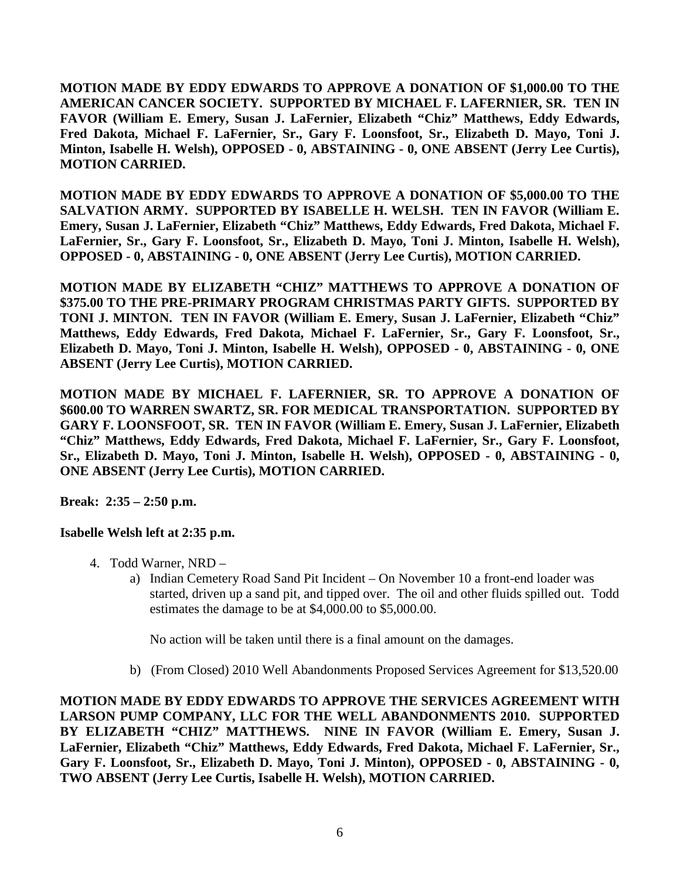**MOTION MADE BY EDDY EDWARDS TO APPROVE A DONATION OF \$1,000.00 TO THE AMERICAN CANCER SOCIETY. SUPPORTED BY MICHAEL F. LAFERNIER, SR. TEN IN FAVOR (William E. Emery, Susan J. LaFernier, Elizabeth "Chiz" Matthews, Eddy Edwards, Fred Dakota, Michael F. LaFernier, Sr., Gary F. Loonsfoot, Sr., Elizabeth D. Mayo, Toni J. Minton, Isabelle H. Welsh), OPPOSED - 0, ABSTAINING - 0, ONE ABSENT (Jerry Lee Curtis), MOTION CARRIED.**

**MOTION MADE BY EDDY EDWARDS TO APPROVE A DONATION OF \$5,000.00 TO THE SALVATION ARMY. SUPPORTED BY ISABELLE H. WELSH. TEN IN FAVOR (William E. Emery, Susan J. LaFernier, Elizabeth "Chiz" Matthews, Eddy Edwards, Fred Dakota, Michael F. LaFernier, Sr., Gary F. Loonsfoot, Sr., Elizabeth D. Mayo, Toni J. Minton, Isabelle H. Welsh), OPPOSED - 0, ABSTAINING - 0, ONE ABSENT (Jerry Lee Curtis), MOTION CARRIED.**

**MOTION MADE BY ELIZABETH "CHIZ" MATTHEWS TO APPROVE A DONATION OF \$375.00 TO THE PRE-PRIMARY PROGRAM CHRISTMAS PARTY GIFTS. SUPPORTED BY TONI J. MINTON. TEN IN FAVOR (William E. Emery, Susan J. LaFernier, Elizabeth "Chiz" Matthews, Eddy Edwards, Fred Dakota, Michael F. LaFernier, Sr., Gary F. Loonsfoot, Sr., Elizabeth D. Mayo, Toni J. Minton, Isabelle H. Welsh), OPPOSED - 0, ABSTAINING - 0, ONE ABSENT (Jerry Lee Curtis), MOTION CARRIED.**

**MOTION MADE BY MICHAEL F. LAFERNIER, SR. TO APPROVE A DONATION OF \$600.00 TO WARREN SWARTZ, SR. FOR MEDICAL TRANSPORTATION. SUPPORTED BY GARY F. LOONSFOOT, SR. TEN IN FAVOR (William E. Emery, Susan J. LaFernier, Elizabeth "Chiz" Matthews, Eddy Edwards, Fred Dakota, Michael F. LaFernier, Sr., Gary F. Loonsfoot, Sr., Elizabeth D. Mayo, Toni J. Minton, Isabelle H. Welsh), OPPOSED - 0, ABSTAINING - 0, ONE ABSENT (Jerry Lee Curtis), MOTION CARRIED.**

**Break: 2:35 – 2:50 p.m.** 

# **Isabelle Welsh left at 2:35 p.m.**

- 4. Todd Warner, NRD
	- a) Indian Cemetery Road Sand Pit Incident On November 10 a front-end loader was started, driven up a sand pit, and tipped over. The oil and other fluids spilled out. Todd estimates the damage to be at \$4,000.00 to \$5,000.00.

No action will be taken until there is a final amount on the damages.

b) (From Closed) 2010 Well Abandonments Proposed Services Agreement for \$13,520.00

**MOTION MADE BY EDDY EDWARDS TO APPROVE THE SERVICES AGREEMENT WITH LARSON PUMP COMPANY, LLC FOR THE WELL ABANDONMENTS 2010. SUPPORTED BY ELIZABETH "CHIZ" MATTHEWS. NINE IN FAVOR (William E. Emery, Susan J. LaFernier, Elizabeth "Chiz" Matthews, Eddy Edwards, Fred Dakota, Michael F. LaFernier, Sr., Gary F. Loonsfoot, Sr., Elizabeth D. Mayo, Toni J. Minton), OPPOSED - 0, ABSTAINING - 0, TWO ABSENT (Jerry Lee Curtis, Isabelle H. Welsh), MOTION CARRIED.**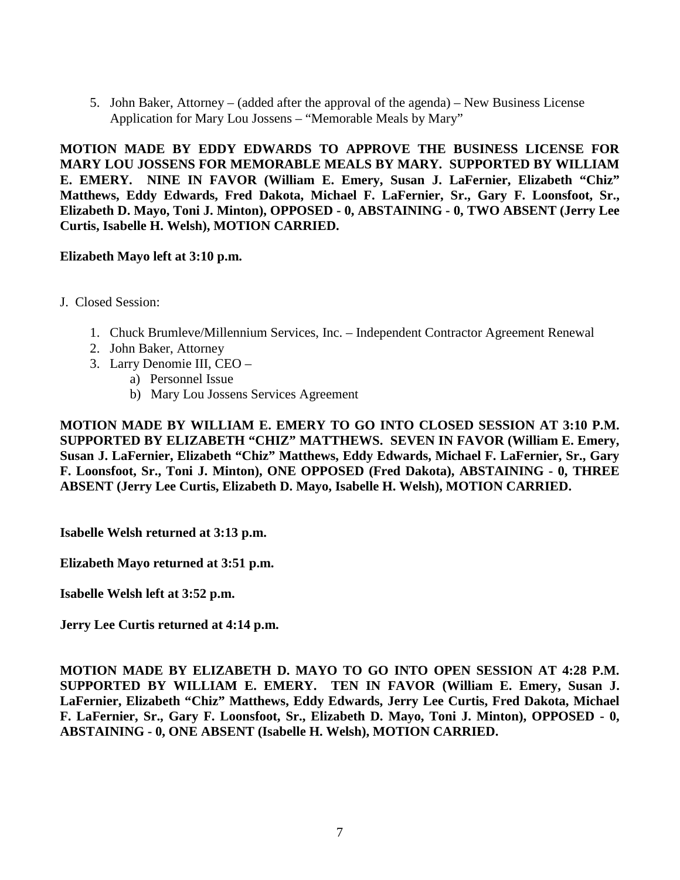5. John Baker, Attorney – (added after the approval of the agenda) – New Business License Application for Mary Lou Jossens – "Memorable Meals by Mary"

**MOTION MADE BY EDDY EDWARDS TO APPROVE THE BUSINESS LICENSE FOR MARY LOU JOSSENS FOR MEMORABLE MEALS BY MARY. SUPPORTED BY WILLIAM E. EMERY. NINE IN FAVOR (William E. Emery, Susan J. LaFernier, Elizabeth "Chiz" Matthews, Eddy Edwards, Fred Dakota, Michael F. LaFernier, Sr., Gary F. Loonsfoot, Sr., Elizabeth D. Mayo, Toni J. Minton), OPPOSED - 0, ABSTAINING - 0, TWO ABSENT (Jerry Lee Curtis, Isabelle H. Welsh), MOTION CARRIED.**

## **Elizabeth Mayo left at 3:10 p.m.**

- J. Closed Session:
	- 1. Chuck Brumleve/Millennium Services, Inc. Independent Contractor Agreement Renewal
	- 2. John Baker, Attorney
	- 3. Larry Denomie III, CEO
		- a) Personnel Issue
		- b) Mary Lou Jossens Services Agreement

**MOTION MADE BY WILLIAM E. EMERY TO GO INTO CLOSED SESSION AT 3:10 P.M. SUPPORTED BY ELIZABETH "CHIZ" MATTHEWS. SEVEN IN FAVOR (William E. Emery, Susan J. LaFernier, Elizabeth "Chiz" Matthews, Eddy Edwards, Michael F. LaFernier, Sr., Gary F. Loonsfoot, Sr., Toni J. Minton), ONE OPPOSED (Fred Dakota), ABSTAINING - 0, THREE ABSENT (Jerry Lee Curtis, Elizabeth D. Mayo, Isabelle H. Welsh), MOTION CARRIED.**

**Isabelle Welsh returned at 3:13 p.m.**

**Elizabeth Mayo returned at 3:51 p.m.** 

**Isabelle Welsh left at 3:52 p.m.** 

**Jerry Lee Curtis returned at 4:14 p.m.**

**MOTION MADE BY ELIZABETH D. MAYO TO GO INTO OPEN SESSION AT 4:28 P.M. SUPPORTED BY WILLIAM E. EMERY. TEN IN FAVOR (William E. Emery, Susan J. LaFernier, Elizabeth "Chiz" Matthews, Eddy Edwards, Jerry Lee Curtis, Fred Dakota, Michael F. LaFernier, Sr., Gary F. Loonsfoot, Sr., Elizabeth D. Mayo, Toni J. Minton), OPPOSED - 0, ABSTAINING - 0, ONE ABSENT (Isabelle H. Welsh), MOTION CARRIED.**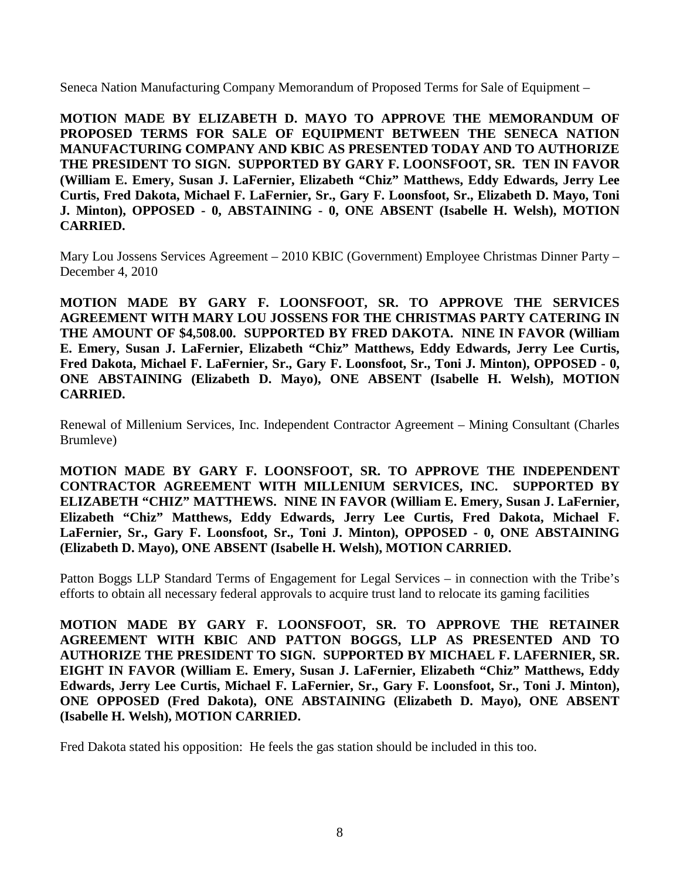Seneca Nation Manufacturing Company Memorandum of Proposed Terms for Sale of Equipment –

**MOTION MADE BY ELIZABETH D. MAYO TO APPROVE THE MEMORANDUM OF PROPOSED TERMS FOR SALE OF EQUIPMENT BETWEEN THE SENECA NATION MANUFACTURING COMPANY AND KBIC AS PRESENTED TODAY AND TO AUTHORIZE THE PRESIDENT TO SIGN. SUPPORTED BY GARY F. LOONSFOOT, SR. TEN IN FAVOR (William E. Emery, Susan J. LaFernier, Elizabeth "Chiz" Matthews, Eddy Edwards, Jerry Lee Curtis, Fred Dakota, Michael F. LaFernier, Sr., Gary F. Loonsfoot, Sr., Elizabeth D. Mayo, Toni J. Minton), OPPOSED - 0, ABSTAINING - 0, ONE ABSENT (Isabelle H. Welsh), MOTION CARRIED.**

Mary Lou Jossens Services Agreement – 2010 KBIC (Government) Employee Christmas Dinner Party – December 4, 2010

**MOTION MADE BY GARY F. LOONSFOOT, SR. TO APPROVE THE SERVICES AGREEMENT WITH MARY LOU JOSSENS FOR THE CHRISTMAS PARTY CATERING IN THE AMOUNT OF \$4,508.00. SUPPORTED BY FRED DAKOTA. NINE IN FAVOR (William E. Emery, Susan J. LaFernier, Elizabeth "Chiz" Matthews, Eddy Edwards, Jerry Lee Curtis, Fred Dakota, Michael F. LaFernier, Sr., Gary F. Loonsfoot, Sr., Toni J. Minton), OPPOSED - 0, ONE ABSTAINING (Elizabeth D. Mayo), ONE ABSENT (Isabelle H. Welsh), MOTION CARRIED.**

Renewal of Millenium Services, Inc. Independent Contractor Agreement – Mining Consultant (Charles Brumleve)

**MOTION MADE BY GARY F. LOONSFOOT, SR. TO APPROVE THE INDEPENDENT CONTRACTOR AGREEMENT WITH MILLENIUM SERVICES, INC. SUPPORTED BY ELIZABETH "CHIZ" MATTHEWS. NINE IN FAVOR (William E. Emery, Susan J. LaFernier, Elizabeth "Chiz" Matthews, Eddy Edwards, Jerry Lee Curtis, Fred Dakota, Michael F. LaFernier, Sr., Gary F. Loonsfoot, Sr., Toni J. Minton), OPPOSED - 0, ONE ABSTAINING (Elizabeth D. Mayo), ONE ABSENT (Isabelle H. Welsh), MOTION CARRIED.**

Patton Boggs LLP Standard Terms of Engagement for Legal Services – in connection with the Tribe's efforts to obtain all necessary federal approvals to acquire trust land to relocate its gaming facilities

**MOTION MADE BY GARY F. LOONSFOOT, SR. TO APPROVE THE RETAINER AGREEMENT WITH KBIC AND PATTON BOGGS, LLP AS PRESENTED AND TO AUTHORIZE THE PRESIDENT TO SIGN. SUPPORTED BY MICHAEL F. LAFERNIER, SR. EIGHT IN FAVOR (William E. Emery, Susan J. LaFernier, Elizabeth "Chiz" Matthews, Eddy Edwards, Jerry Lee Curtis, Michael F. LaFernier, Sr., Gary F. Loonsfoot, Sr., Toni J. Minton), ONE OPPOSED (Fred Dakota), ONE ABSTAINING (Elizabeth D. Mayo), ONE ABSENT (Isabelle H. Welsh), MOTION CARRIED.**

Fred Dakota stated his opposition: He feels the gas station should be included in this too.